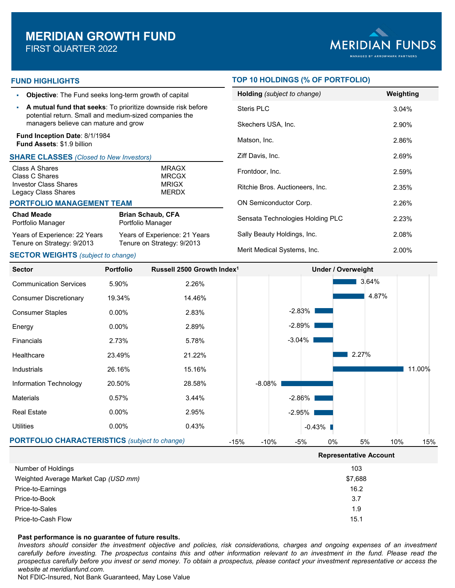

## **FUND HIGHLIGHTS**

- **Objective**: The Fund seeks long-term growth of capital
- **A mutual fund that seeks**: To prioritize downside risk before potential return. Small and medium-sized companies the managers believe can mature and grow

### **Fund Inception Date**: 8/1/1984 **Fund Assets**: \$1.9 billion

### **SHARE CLASSES** *(Closed to New Investors)*

| Class A Shares               | <b>MRAGX</b> |
|------------------------------|--------------|
| Class C Shares               | <b>MRCGX</b> |
| <b>Investor Class Shares</b> | <b>MRIGX</b> |
| Legacy Class Shares          | <b>MERDX</b> |
|                              |              |

### **PORTFOLIO MANAGEMENT TEAM**

| Chad Meade                    | <b>Brian Schaub, CFA</b>      |
|-------------------------------|-------------------------------|
| Portfolio Manager             | Portfolio Manager             |
| Years of Experience: 22 Years | Years of Experience: 21 Years |
| Tenure on Strategy: 9/2013    | Tenure on Strategy: 9/2013    |

### **SECTOR WEIGHTS** *(subject to change)*

## **TOP 10 HOLDINGS (% OF PORTFOLIO)**

| Holding (subject to change)      | Weighting |
|----------------------------------|-----------|
| Steris PLC                       | 3.04%     |
| Skechers USA, Inc.               | 2.90%     |
| Matson, Inc.                     | 2.86%     |
| Ziff Davis, Inc.                 | 2.69%     |
| Frontdoor, Inc.                  | 2.59%     |
| Ritchie Bros. Auctioneers, Inc.  | 2.35%     |
| <b>ON Semiconductor Corp.</b>    | 2.26%     |
| Sensata Technologies Holding PLC | 2.23%     |
| Sally Beauty Holdings, Inc.      | 2.08%     |
| Merit Medical Systems, Inc.      | 2.00%     |

**Representative Account**



| Number of Holdings                   | 103     |
|--------------------------------------|---------|
| Weighted Average Market Cap (USD mm) | \$7,688 |
| Price-to-Earnings                    | 16.2    |
| Price-to-Book                        | 3.7     |
| Price-to-Sales                       | 1.9     |
| Price-to-Cash Flow                   | 15.1    |

### **Past performance is no guarantee of future results.**

Investors should consider the investment objective and policies, risk considerations, charges and ongoing expenses of an investment carefully before investing. The prospectus contains this and other information relevant to an investment in the fund. Please read the prospectus carefully before you invest or send money. To obtain a prospectus, please contact your investment representative or access the *website at meridianfund.com.*

Not FDIC-Insured, Not Bank Guaranteed, May Lose Value